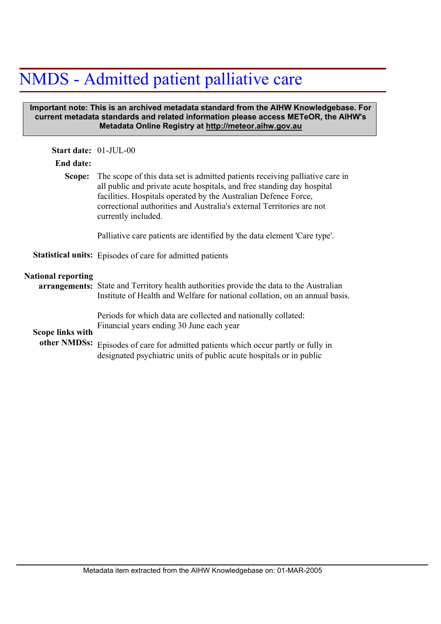## NMDS - Admitted patient palliative care

## **Important note: This is an archived metadata standard from the AIHW Knowledgebase. For current metadata standards and related information please access METeOR, the AIHW's Metadata Online Registry at http://meteor.aihw.gov.au**

| <b>Start date: 01-JUL-00</b>            |                                                                                                                                                                                                                                                                                                                                         |
|-----------------------------------------|-----------------------------------------------------------------------------------------------------------------------------------------------------------------------------------------------------------------------------------------------------------------------------------------------------------------------------------------|
| End date:                               |                                                                                                                                                                                                                                                                                                                                         |
|                                         | <b>Scope:</b> The scope of this data set is admitted patients receiving palliative care in<br>all public and private acute hospitals, and free standing day hospital<br>facilities. Hospitals operated by the Australian Defence Force,<br>correctional authorities and Australia's external Territories are not<br>currently included. |
|                                         | Palliative care patients are identified by the data element 'Care type'.                                                                                                                                                                                                                                                                |
|                                         | <b>Statistical units:</b> Episodes of care for admitted patients                                                                                                                                                                                                                                                                        |
| <b>National reporting</b>               | arrangements: State and Territory health authorities provide the data to the Australian<br>Institute of Health and Welfare for national collation, on an annual basis.                                                                                                                                                                  |
| <b>Scope links with</b><br>other NMDSs: | Periods for which data are collected and nationally collated:<br>Financial years ending 30 June each year                                                                                                                                                                                                                               |
|                                         | Episodes of care for admitted patients which occur partly or fully in<br>designated psychiatric units of public acute hospitals or in public                                                                                                                                                                                            |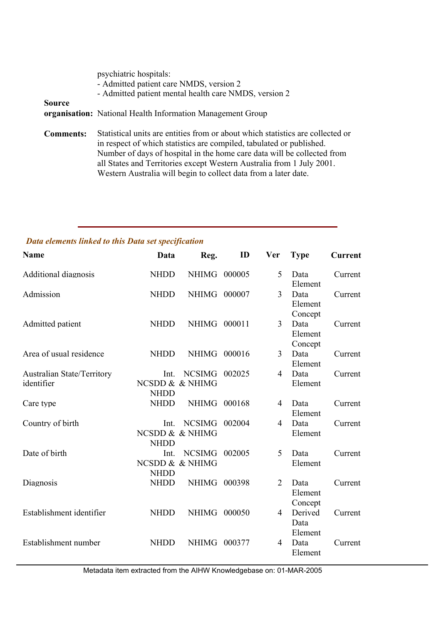|                  | psychiatric hospitals:<br>- Admitted patient care NMDS, version 2<br>- Admitted patient mental health care NMDS, version 2                |
|------------------|-------------------------------------------------------------------------------------------------------------------------------------------|
| Source           | <b>organisation:</b> National Health Information Management Group                                                                         |
| <b>Comments:</b> | Statistical units are entities from or about which statistics are co<br>in respect of which statistics are compiled tabulated or publishe |

Ilected or in respect of which statistics are compiled, tabulated or published. Number of days of hospital in the home care data will be collected from all States and Territories except Western Australia from 1 July 2001. Western Australia will begin to collect data from a later date.

## *Data elements linked to this Data set specification*

| <b>Name</b>                              | Data                | Reg.                             | ID     | <b>Ver</b>     | <b>Type</b>                | <b>Current</b> |
|------------------------------------------|---------------------|----------------------------------|--------|----------------|----------------------------|----------------|
| <b>Additional diagnosis</b>              | <b>NHDD</b>         | <b>NHIMG</b>                     | 000005 | 5              | Data<br>Element            | Current        |
| Admission                                | <b>NHDD</b>         | <b>NHIMG</b>                     | 000007 | 3              | Data<br>Element<br>Concept | Current        |
| Admitted patient                         | <b>NHDD</b>         | <b>NHIMG</b>                     | 000011 | $\overline{3}$ | Data<br>Element<br>Concept | Current        |
| Area of usual residence                  | <b>NHDD</b>         | NHIMG 000016                     |        | $\overline{3}$ | Data<br>Element            | Current        |
| Australian State/Territory<br>identifier | Int.<br><b>NHDD</b> | <b>NCSIMG</b><br>NCSDD & & NHIMG | 002025 | $\overline{4}$ | Data<br>Element            | Current        |
| Care type                                | <b>NHDD</b>         | <b>NHIMG</b>                     | 000168 | $\overline{4}$ | Data<br>Element            | Current        |
| Country of birth                         | Int.<br><b>NHDD</b> | <b>NCSIMG</b><br>NCSDD & & NHIMG | 002004 | $\overline{4}$ | Data<br>Element            | Current        |
| Date of birth                            | Int.<br><b>NHDD</b> | <b>NCSIMG</b><br>NCSDD & & NHIMG | 002005 | 5              | Data<br>Element            | Current        |
| Diagnosis                                | <b>NHDD</b>         | <b>NHIMG</b>                     | 000398 | $\overline{2}$ | Data<br>Element<br>Concept | Current        |
| Establishment identifier                 | <b>NHDD</b>         | <b>NHIMG</b>                     | 000050 | $\overline{4}$ | Derived<br>Data<br>Element | Current        |
| Establishment number                     | <b>NHDD</b>         | <b>NHIMG</b>                     | 000377 | 4              | Data<br>Element            | Current        |